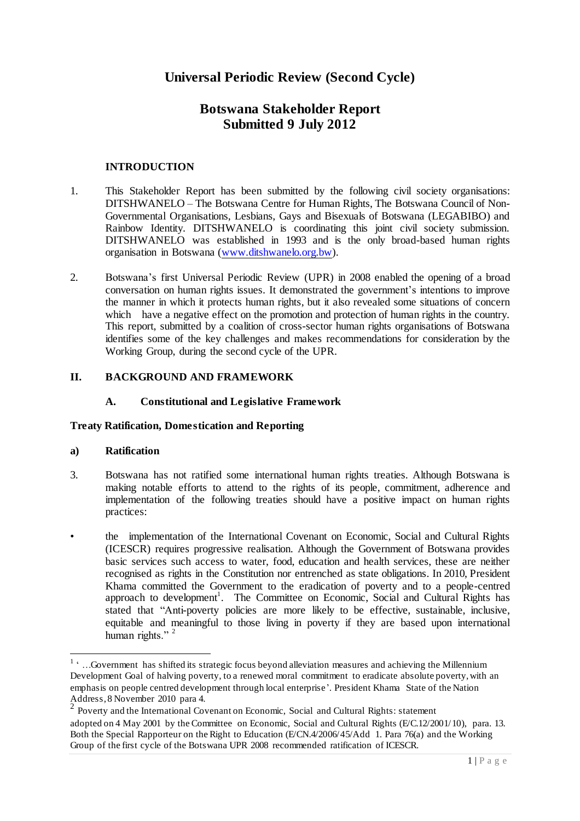# **Botswana Stakeholder Report Submitted 9 July 2012**

# **INTRODUCTION**

- 1. This Stakeholder Report has been submitted by the following civil society organisations: DITSHWANELO – The Botswana Centre for Human Rights, The Botswana Council of Non-Governmental Organisations, Lesbians, Gays and Bisexuals of Botswana (LEGABIBO) and Rainbow Identity. DITSHWANELO is coordinating this joint civil society submission. DITSHWANELO was established in 1993 and is the only broad-based human rights organisation in Botswana [\(www.ditshwanelo.org.bw\)](http://www.ditshwanelo.org.bw/).
- 2. Botswana"s first Universal Periodic Review (UPR) in 2008 enabled the opening of a broad conversation on human rights issues. It demonstrated the government"s intentions to improve the manner in which it protects human rights, but it also revealed some situations of concern which have a negative effect on the promotion and protection of human rights in the country. This report, submitted by a coalition of cross-sector human rights organisations of Botswana identifies some of the key challenges and makes recommendations for consideration by the Working Group, during the second cycle of the UPR.

# **II. BACKGROUND AND FRAMEWORK**

# **A. Constitutional and Legislative Framework**

#### **Treaty Ratification, Domestication and Reporting**

#### **a) Ratification**

- 3. Botswana has not ratified some international human rights treaties. Although Botswana is making notable efforts to attend to the rights of its people, commitment, adherence and implementation of the following treaties should have a positive impact on human rights practices:
- the implementation of the International Covenant on Economic, Social and Cultural Rights (ICESCR) requires progressive realisation. Although the Government of Botswana provides basic services such access to water, food, education and health services, these are neither recognised as rights in the Constitution nor entrenched as state obligations. In 2010, President Khama committed the Government to the eradication of poverty and to a people-centred approach to development<sup>1</sup>. The Committee on Economic, Social and Cultural Rights has stated that "Anti-poverty policies are more likely to be effective, sustainable, inclusive, equitable and meaningful to those living in poverty if they are based upon international human rights."<sup>2</sup>

<sup>&</sup>lt;sup>1</sup> ... Government has shifted its strategic focus beyond alleviation measures and achieving the Millennium Development Goal of halving poverty, to a renewed moral commitment to eradicate absolute poverty, with an emphasis on people centred development through local enterprise'. President Khama State of the Nation Address, 8 November 2010 para 4.

<sup>&</sup>lt;sup>2</sup> Poverty and the International Covenant on Economic, Social and Cultural Rights: statement adopted on 4 May 2001 by the Committee on Economic, Social and Cultural Rights (E/C.12/2001/10), para. 13. Both the Special Rapporteur on the Right to Education (E/CN.4/2006/45/Add 1. Para 76(a) and the Working Group of the first cycle of the Botswana UPR 2008 recommended ratification of ICESCR.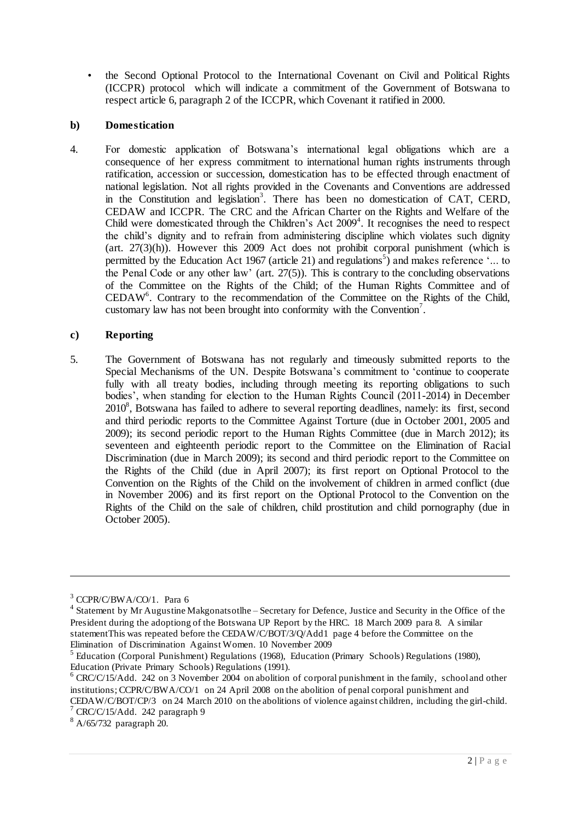• the Second Optional Protocol to the International Covenant on Civil and Political Rights (ICCPR) protocol which will indicate a commitment of the Government of Botswana to respect article 6, paragraph 2 of the ICCPR, which Covenant it ratified in 2000.

# **b) Domestication**

4. For domestic application of Botswana"s international legal obligations which are a consequence of her express commitment to international human rights instruments through ratification, accession or succession, domestication has to be effected through enactment of national legislation. Not all rights provided in the Covenants and Conventions are addressed in the Constitution and legislation<sup>3</sup>. There has been no domestication of CAT, CERD, CEDAW and ICCPR. The CRC and the African Charter on the Rights and Welfare of the Child were domesticated through the Children's Act  $2009<sup>4</sup>$ . It recognises the need to respect the child"s dignity and to refrain from administering discipline which violates such dignity (art. 27(3)(h)). However this 2009 Act does not prohibit corporal punishment (which is permitted by the Education Act 1967 (article 21) and regulations<sup>5</sup>) and makes reference '... to the Penal Code or any other law' (art.  $27(5)$ ). This is contrary to the concluding observations of the Committee on the Rights of the Child; of the Human Rights Committee and of CEDAW<sup>6</sup> . Contrary to the recommendation of the Committee on the Rights of the Child, customary law has not been brought into conformity with the Convention<sup>7</sup>.

## **c) Reporting**

5. The Government of Botswana has not regularly and timeously submitted reports to the Special Mechanisms of the UN. Despite Botswana"s commitment to "continue to cooperate fully with all treaty bodies, including through meeting its reporting obligations to such bodies', when standing for election to the Human Rights Council (2011-2014) in December 2010<sup>8</sup>, Botswana has failed to adhere to several reporting deadlines, namely: its first, second and third periodic reports to the Committee Against Torture (due in October 2001, 2005 and 2009); its second periodic report to the Human Rights Committee (due in March 2012); its seventeen and eighteenth periodic report to the Committee on the Elimination of Racial Discrimination (due in March 2009); its second and third periodic report to the Committee on the Rights of the Child (due in April 2007); its first report on Optional Protocol to the Convention on the Rights of the Child on the involvement of children in armed conflict (due in November 2006) and its first report on the Optional Protocol to the Convention on the Rights of the Child on the sale of children, child prostitution and child pornography (due in October 2005).

 $3$  CCPR/C/BWA/CO/1. Para 6

<sup>&</sup>lt;sup>4</sup> Statement by Mr Augustine Makgonatsotlhe – Secretary for Defence, Justice and Security in the Office of the President during the adoptiong of the Botswana UP Report by the HRC. 18 March 2009 para 8. A similar statementThis was repeated before the CEDAW/C/BOT/3/Q/Add1 page 4 before the Committee on the Elimination of Discrimination Against Women. 10 November 2009

<sup>&</sup>lt;sup>5</sup> Education (Corporal Punishment) Regulations (1968), Education (Primary Schools) Regulations (1980), Education (Private Primary Schools) Regulations (1991).

<sup>&</sup>lt;sup>6</sup> CRC/C/15/Add. 242 on 3 November 2004 on abolition of corporal punishment in the family, school and other institutions; CCPR/C/BWA/CO/1 on 24 April 2008 on the abolition of penal corporal punishment and

CEDAW/C/BOT/CP/3 on 24 March 2010 on the abolitions of violence against children, including the girl-child.  $7$  CRC/C/15/Add. 242 paragraph 9

<sup>8</sup> A/65/732 paragraph 20.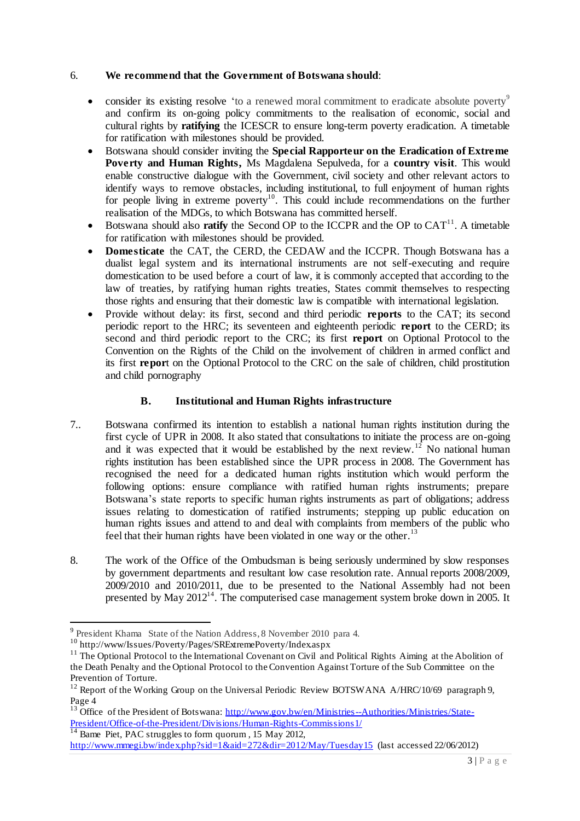## 6. **We recommend that the Government of Botswana should**:

- consider its existing resolve 'to a renewed moral commitment to eradicate absolute poverty<sup>9</sup> and confirm its on-going policy commitments to the realisation of economic, social and cultural rights by **ratifying** the ICESCR to ensure long-term poverty eradication. A timetable for ratification with milestones should be provided.
- Botswana should consider inviting the **Special Rapporteur on the Eradication of Extreme Poverty and Human Rights,** Ms Magdalena Sepulveda, for a **country visit**. This would enable constructive dialogue with the Government, civil society and other relevant actors to identify ways to remove obstacles, including institutional, to full enjoyment of human rights for people living in extreme poverty<sup>10</sup>. This could include recommendations on the further realisation of the MDGs, to which Botswana has committed herself.
- $\bullet$  Botswana should also **ratify** the Second OP to the ICCPR and the OP to  $CAT^{11}$ . A timetable for ratification with milestones should be provided.
- **Domesticate** the CAT, the CERD, the CEDAW and the ICCPR. Though Botswana has a dualist legal system and its international instruments are not self-executing and require domestication to be used before a court of law, it is commonly accepted that according to the law of treaties, by ratifying human rights treaties, States commit themselves to respecting those rights and ensuring that their domestic law is compatible with international legislation.
- Provide without delay: its first, second and third periodic **reports** to the CAT; its second periodic report to the HRC; its seventeen and eighteenth periodic **report** to the CERD; its second and third periodic report to the CRC; its first **report** on Optional Protocol to the Convention on the Rights of the Child on the involvement of children in armed conflict and its first **repor**t on the Optional Protocol to the CRC on the sale of children, child prostitution and child pornography

# **B. Institutional and Human Rights infrastructure**

- 7.. Botswana confirmed its intention to establish a national human rights institution during the first cycle of UPR in 2008. It also stated that consultations to initiate the process are on-going and it was expected that it would be established by the next review.<sup>12</sup> No national human rights institution has been established since the UPR process in 2008. The Government has recognised the need for a dedicated human rights institution which would perform the following options: ensure compliance with ratified human rights instruments; prepare Botswana"s state reports to specific human rights instruments as part of obligations; address issues relating to domestication of ratified instruments; stepping up public education on human rights issues and attend to and deal with complaints from members of the public who feel that their human rights have been violated in one way or the other.<sup>13</sup>
- 8. The work of the Office of the Ombudsman is being seriously undermined by slow responses by government departments and resultant low case resolution rate. Annual reports 2008/2009, 2009/2010 and 2010/2011, due to be presented to the National Assembly had not been presented by May 2012<sup>14</sup>. The computerised case management system broke down in 2005. It

 $\overline{a}$ 

<sup>14</sup> Bame Piet, PAC struggles to form quorum , 15 May 2012,

<sup>&</sup>lt;sup>9</sup> President Khama State of the Nation Address, 8 November 2010 para 4.

<sup>&</sup>lt;sup>10</sup> http://www/Issues/Poverty/Pages/SRExtremePoverty/Index.aspx

<sup>&</sup>lt;sup>11</sup> The Optional Protocol to the International Covenant on Civil and Political Rights Aiming at the Abolition of the Death Penalty and the Optional Protocol to the Convention Against Torture of the Sub Committee on the Prevention of Torture.

<sup>&</sup>lt;sup>12</sup> Report of the Working Group on the Universal Periodic Review BOTSWANA A/HRC/10/69 paragraph 9, Page 4

<sup>&</sup>lt;sup>13</sup> Office of the President of Botswana[: http://www.gov.bw/en/Ministries--Authorities/Ministries/State-](http://www.gov.bw/en/Ministries--Authorities/Ministries/State-President/Office-of-the-President/Divisions/Human-Rights-Commissions1/)[President/Office-of-the-President/Divisions/Human-Rights-Commissions1/](http://www.gov.bw/en/Ministries--Authorities/Ministries/State-President/Office-of-the-President/Divisions/Human-Rights-Commissions1/)

<http://www.mmegi.bw/index.php?sid=1&aid=272&dir=2012/May/Tuesday15> (last accessed 22/06/2012)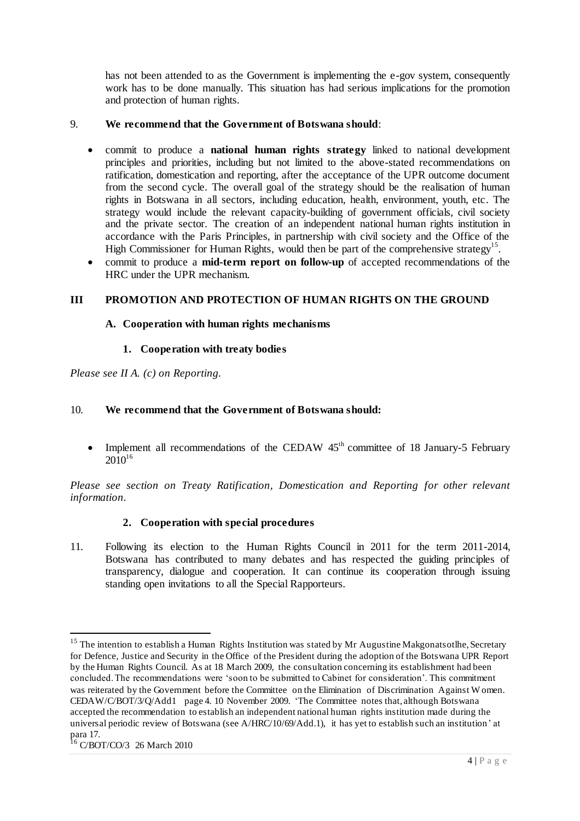has not been attended to as the Government is implementing the e-gov system, consequently work has to be done manually. This situation has had serious implications for the promotion and protection of human rights.

# 9. **We recommend that the Government of Botswana should**:

- commit to produce a **national human rights strategy** linked to national development principles and priorities, including but not limited to the above-stated recommendations on ratification, domestication and reporting, after the acceptance of the UPR outcome document from the second cycle. The overall goal of the strategy should be the realisation of human rights in Botswana in all sectors, including education, health, environment, youth, etc. The strategy would include the relevant capacity-building of government officials, civil society and the private sector. The creation of an independent national human rights institution in accordance with the Paris Principles, in partnership with civil society and the Office of the High Commissioner for Human Rights, would then be part of the comprehensive strategy<sup>15</sup>.
- commit to produce a **mid-term report on follow-up** of accepted recommendations of the HRC under the UPR mechanism.

# **III PROMOTION AND PROTECTION OF HUMAN RIGHTS ON THE GROUND**

## **A. Cooperation with human rights mechanisms**

## **1. Cooperation with treaty bodies**

*Please see II A. (c) on Reporting.*

## 10. **We recommend that the Government of Botswana should:**

• Implement all recommendations of the CEDAW  $45<sup>th</sup>$  committee of 18 January-5 February  $2010^{16}$ 

*Please see section on Treaty Ratification, Domestication and Reporting for other relevant information.*

# **2. Cooperation with special procedures**

11. Following its election to the Human Rights Council in 2011 for the term 2011-2014, Botswana has contributed to many debates and has respected the guiding principles of transparency, dialogue and cooperation. It can continue its cooperation through issuing standing open invitations to all the Special Rapporteurs.

<sup>&</sup>lt;sup>15</sup> The intention to establish a Human Rights Institution was stated by Mr Augustine Makgonatsotlhe, Secretary for Defence, Justice and Security in the Office of the President during the adoption of the Botswana UPR Report by the Human Rights Council. As at 18 March 2009, the consultation concerning its establishment had been concluded. The recommendations were 'soon to be submitted to Cabinet for consideration'. This commitment was reiterated by the Government before the Committee on the Elimination of Discrimination Against Women. CEDAW/C/BOT/3/Q/Add1 page 4. 10 November 2009. "The Committee notes that, although Botswana accepted the recommendation to establish an independent national human rights institution made during the universal periodic review of Botswana (see A/HRC/10/69/Add.1), it has yet to establish such an institution" at para 17.

<sup>&</sup>lt;sup>16</sup> C/BOT/CO/3 26 March 2010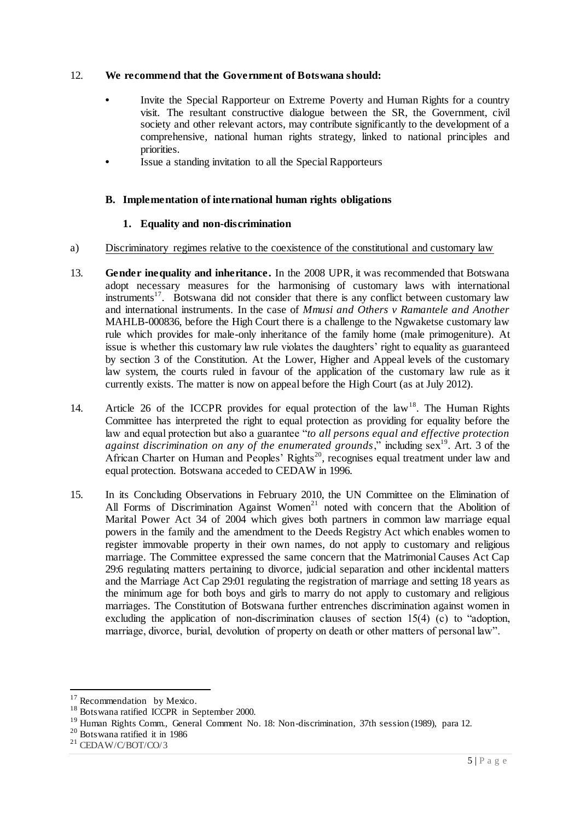## 12. **We recommend that the Government of Botswana should:**

- Invite the Special Rapporteur on Extreme Poverty and Human Rights for a country visit. The resultant constructive dialogue between the SR, the Government, civil society and other relevant actors, may contribute significantly to the development of a comprehensive, national human rights strategy, linked to national principles and priorities.
- **•** Issue a standing invitation to all the Special Rapporteurs

## **B. Implementation of international human rights obligations**

## **1. Equality and non-discrimination**

- a) Discriminatory regimes relative to the coexistence of the constitutional and customary law
- 13. **Gender inequality and inheritance.** In the 2008 UPR, it was recommended that Botswana adopt necessary measures for the harmonising of customary laws with international  $in$ struments<sup>17</sup>. Botswana did not consider that there is any conflict between customary law and international instruments. In the case of *Mmusi and Others v Ramantele and Another*  MAHLB-000836*,* before the High Court there is a challenge to the Ngwaketse customary law rule which provides for male-only inheritance of the family home (male primogeniture). At issue is whether this customary law rule violates the daughters' right to equality as guaranteed by section 3 of the Constitution. At the Lower, Higher and Appeal levels of the customary law system, the courts ruled in favour of the application of the customary law rule as it currently exists. The matter is now on appeal before the High Court (as at July 2012).
- 14. Article 26 of the ICCPR provides for equal protection of the  $\text{law}^{18}$ . The Human Rights Committee has interpreted the right to equal protection as providing for equality before the law and equal protection but also a guarantee "*to all persons equal and effective protection against discrimination on any of the enumerated grounds*," including sex<sup>19</sup>. Art. 3 of the African Charter on Human and Peoples' Rights<sup>20</sup>, recognises equal treatment under law and equal protection. Botswana acceded to CEDAW in 1996.
- 15. In its Concluding Observations in February 2010, the UN Committee on the Elimination of All Forms of Discrimination Against Women<sup>21</sup> noted with concern that the Abolition of Marital Power Act 34 of 2004 which gives both partners in common law marriage equal powers in the family and the amendment to the Deeds Registry Act which enables women to register immovable property in their own names, do not apply to customary and religious marriage. The Committee expressed the same concern that the Matrimonial Causes Act Cap 29:6 regulating matters pertaining to divorce, judicial separation and other incidental matters and the Marriage Act Cap 29:01 regulating the registration of marriage and setting 18 years as the minimum age for both boys and girls to marry do not apply to customary and religious marriages. The Constitution of Botswana further entrenches discrimination against women in excluding the application of non-discrimination clauses of section 15(4) (c) to "adoption, marriage, divorce, burial, devolution of property on death or other matters of personal law".

 $17$  Recommendation by Mexico.

<sup>&</sup>lt;sup>18</sup> Botswana ratified ICCPR in September 2000.

<sup>&</sup>lt;sup>19</sup> Human Rights Comm., General Comment No. 18: Non-discrimination, 37th session (1989), para 12.

<sup>20</sup> Botswana ratified it in 1986

<sup>21</sup> CEDAW/C/BOT/CO/3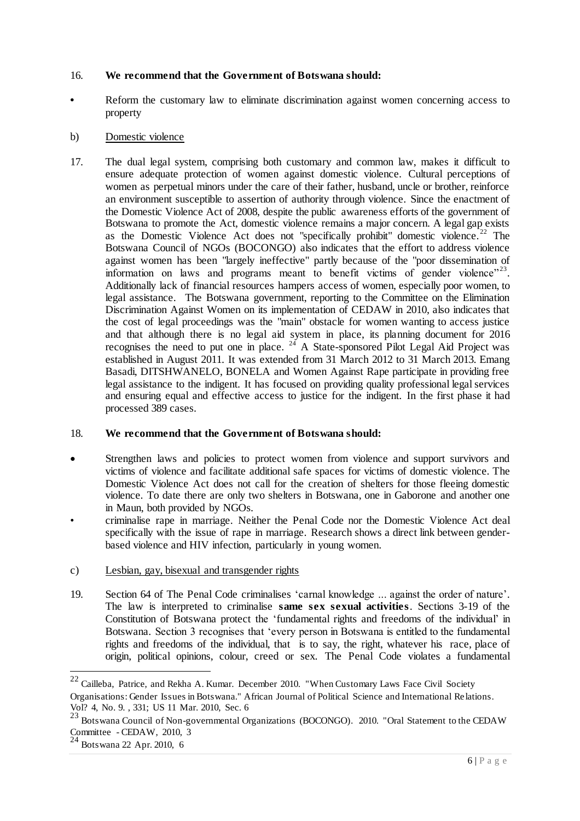#### 16. **We recommend that the Government of Botswana should:**

**•** Reform the customary law to eliminate discrimination against women concerning access to property

#### b) Domestic violence

17. The dual legal system, comprising both customary and common law, makes it difficult to ensure adequate protection of women against domestic violence. Cultural perceptions of women as perpetual minors under the care of their father, husband, uncle or brother, reinforce an environment susceptible to assertion of authority through violence. Since the enactment of the Domestic Violence Act of 2008, despite the public awareness efforts of the government of Botswana to promote the Act, domestic violence remains a major concern. A legal gap exists as the Domestic Violence Act does not "specifically prohibit" domestic violence.<sup>22</sup> The Botswana Council of NGOs (BOCONGO) also indicates that the effort to address violence against women has been "largely ineffective" partly because of the "poor dissemination of information on laws and programs meant to benefit victims of gender violence" $23$ . Additionally lack of financial resources hampers access of women, especially poor women, to legal assistance. The Botswana government, reporting to the Committee on the Elimination Discrimination Against Women on its implementation of CEDAW in 2010, also indicates that the cost of legal proceedings was the "main" obstacle for women wanting to access justice and that although there is no legal aid system in place, its planning document for 2016 recognises the need to put one in place.  $24$  A State-sponsored Pilot Legal Aid Project was established in August 2011. It was extended from 31 March 2012 to 31 March 2013. Emang Basadi, DITSHWANELO, BONELA and Women Against Rape participate in providing free legal assistance to the indigent. It has focused on providing quality professional legal services and ensuring equal and effective access to justice for the indigent. In the first phase it had processed 389 cases.

# 18. **We recommend that the Government of Botswana should:**

- Strengthen laws and policies to protect women from violence and support survivors and victims of violence and facilitate additional safe spaces for victims of domestic violence. The Domestic Violence Act does not call for the creation of shelters for those fleeing domestic violence. To date there are only two shelters in Botswana, one in Gaborone and another one in Maun, both provided by NGOs.
- criminalise rape in marriage. Neither the Penal Code nor the Domestic Violence Act deal specifically with the issue of rape in marriage. Research shows a direct link between genderbased violence and HIV infection, particularly in young women.
- c) Lesbian, gay, bisexual and transgender rights
- 19. Section 64 of The Penal Code criminalises "carnal knowledge ... against the order of nature". The law is interpreted to criminalise **same sex sexual activities**. Sections 3-19 of the Constitution of Botswana protect the "fundamental rights and freedoms of the individual" in Botswana. Section 3 recognises that "every person in Botswana is entitled to the fundamental rights and freedoms of the individual, that is to say, the right, whatever his race, place of origin, political opinions, colour, creed or sex. The Penal Code violates a fundamental

 $22$  Cailleba, Patrice, and Rekha A. Kumar. December 2010. "When Customary Laws Face Civil Society Organisations: Gender Issues in Botswana." African Journal of Political Science and International Re lations. Vol? 4, No. 9. , 331; US 11 Mar. 2010, Sec. 6

<sup>&</sup>lt;sup>23</sup> Botswana Council of Non-governmental Organizations (BOCONGO). 2010. "Oral Statement to the CEDAW Committee - CEDAW, 2010, 3

<sup>24</sup> Botswana 22 Apr. 2010, 6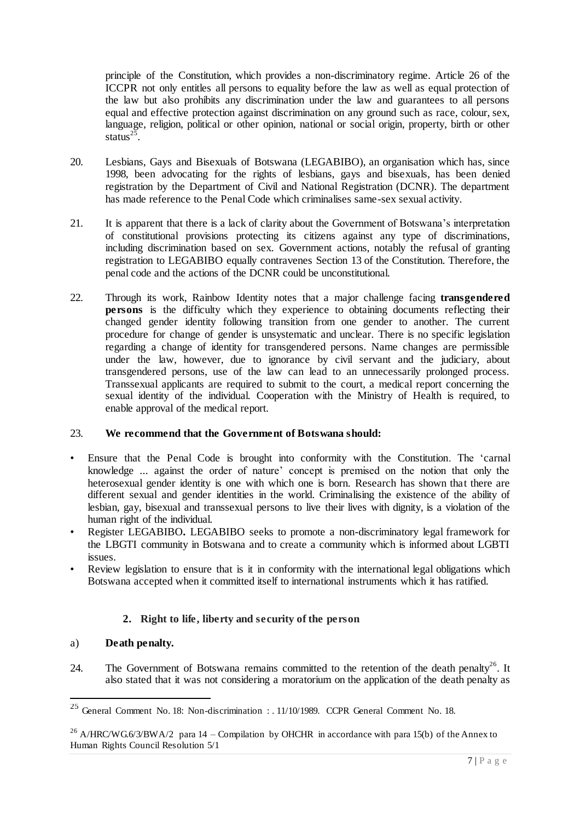principle of the Constitution, which provides a non-discriminatory regime. Article 26 of the ICCPR not only entitles all persons to equality before the law as well as equal protection of the law but also prohibits any discrimination under the law and guarantees to all persons equal and effective protection against discrimination on any ground such as race, colour, sex, language, religion, political or other opinion, national or social origin, property, birth or other status $^{25}$ .

- 20. Lesbians, Gays and Bisexuals of Botswana (LEGABIBO), an organisation which has, since 1998, been advocating for the rights of lesbians, gays and bisexuals, has been denied registration by the Department of Civil and National Registration (DCNR). The department has made reference to the Penal Code which criminalises same-sex sexual activity.
- 21. It is apparent that there is a lack of clarity about the Government of Botswana"s interpretation of constitutional provisions protecting its citizens against any type of discriminations, including discrimination based on sex. Government actions, notably the refusal of granting registration to LEGABIBO equally contravenes Section 13 of the Constitution. Therefore, the penal code and the actions of the DCNR could be unconstitutional.
- 22. Through its work, Rainbow Identity notes that a major challenge facing **transgendered persons** is the difficulty which they experience to obtaining documents reflecting their changed gender identity following transition from one gender to another. The current procedure for change of gender is unsystematic and unclear. There is no specific legislation regarding a change of identity for transgendered persons. Name changes are permissible under the law, however, due to ignorance by civil servant and the judiciary, about transgendered persons, use of the law can lead to an unnecessarily prolonged process. Transsexual applicants are required to submit to the court, a medical report concerning the sexual identity of the individual. Cooperation with the Ministry of Health is required, to enable approval of the medical report.

# 23. **We recommend that the Government of Botswana should:**

- Ensure that the Penal Code is brought into conformity with the Constitution. The "carnal knowledge ... against the order of nature' concept is premised on the notion that only the heterosexual gender identity is one with which one is born. Research has shown that there are different sexual and gender identities in the world. Criminalising the existence of the ability of lesbian, gay, bisexual and transsexual persons to live their lives with dignity, is a violation of the human right of the individual.
- Register LEGABIBO**.** LEGABIBO seeks to promote a non-discriminatory legal framework for the LBGTI community in Botswana and to create a community which is informed about LGBTI issues.
- Review legislation to ensure that is it in conformity with the international legal obligations which Botswana accepted when it committed itself to international instruments which it has ratified.

# **2. Right to life, liberty and security of the person**

# a) **Death penalty.**

 $\overline{a}$ 

24. The Government of Botswana remains committed to the retention of the death penalty<sup>26</sup>. It also stated that it was not considering a moratorium on the application of the death penalty as

<sup>&</sup>lt;sup>25</sup> General Comment No. 18: Non-discrimination : . 11/10/1989. CCPR General Comment No. 18.

<sup>&</sup>lt;sup>26</sup> A/HRC/WG.6/3/BWA/2 para 14 – Compilation by OHCHR in accordance with para 15(b) of the Annex to Human Rights Council Resolution 5/1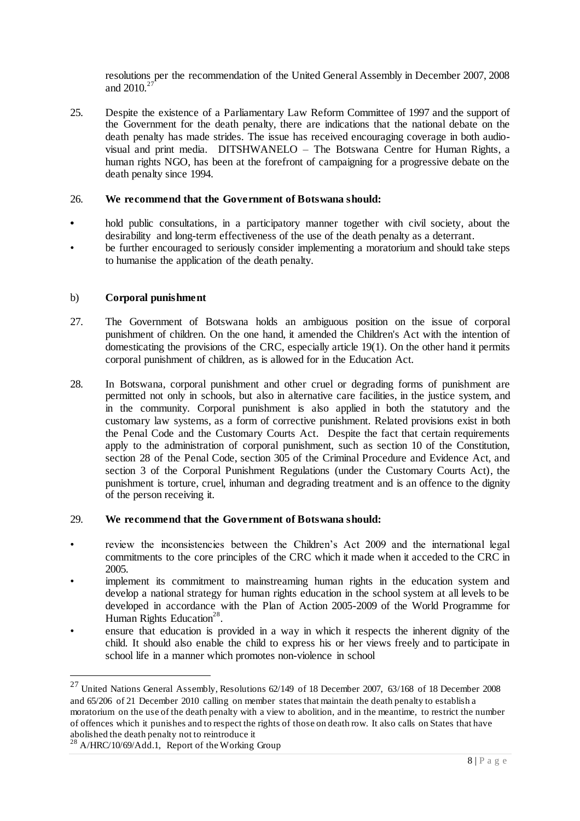resolutions per the recommendation of the United General Assembly in December 2007, 2008 and  $2010.<sup>27</sup>$ 

25. Despite the existence of a Parliamentary Law Reform Committee of 1997 and the support of the Government for the death penalty, there are indications that the national debate on the death penalty has made strides. The issue has received encouraging coverage in both audiovisual and print media. DITSHWANELO – The Botswana Centre for Human Rights, a human rights NGO, has been at the forefront of campaigning for a progressive debate on the death penalty since 1994.

#### 26. **We recommend that the Government of Botswana should:**

- **•** hold public consultations, in a participatory manner together with civil society, about the desirability and long-term effectiveness of the use of the death penalty as a deterrant.
- be further encouraged to seriously consider implementing a moratorium and should take steps to humanise the application of the death penalty.

## b) **Corporal punishment**

- 27. The Government of Botswana holds an ambiguous position on the issue of corporal punishment of children. On the one hand, it amended the Children's Act with the intention of domesticating the provisions of the CRC, especially article 19(1). On the other hand it permits corporal punishment of children, as is allowed for in the Education Act.
- 28. In Botswana, corporal punishment and other cruel or degrading forms of punishment are permitted not only in schools, but also in alternative care facilities, in the justice system, and in the community. Corporal punishment is also applied in both the statutory and the customary law systems, as a form of corrective punishment. Related provisions exist in both the Penal Code and the Customary Courts Act. Despite the fact that certain requirements apply to the administration of corporal punishment, such as section 10 of the Constitution, section 28 of the Penal Code, section 305 of the Criminal Procedure and Evidence Act, and section 3 of the Corporal Punishment Regulations (under the Customary Courts Act), the punishment is torture, cruel, inhuman and degrading treatment and is an offence to the dignity of the person receiving it.

#### 29. **We recommend that the Government of Botswana should:**

- review the inconsistencies between the Children's Act 2009 and the international legal commitments to the core principles of the CRC which it made when it acceded to the CRC in 2005.
- implement its commitment to mainstreaming human rights in the education system and develop a national strategy for human rights education in the school system at all levels to be developed in accordance with the Plan of Action 2005-2009 of the World Programme for Human Rights Education<sup>28</sup>.
- ensure that education is provided in a way in which it respects the inherent dignity of the child. It should also enable the child to express his or her views freely and to participate in school life in a manner which promotes non-violence in school

 $^{27}$  United Nations General Assembly, Resolutions 62/149 of 18 December 2007, 63/168 of 18 December 2008 and 65/206 of 21 December 2010 calling on member states that maintain the death penalty to establish a moratorium on the use of the death penalty with a view to abolition, and in the meantime, to restrict the number of offences which it punishes and to respect the rights of those on death row. It also calls on States that have abolished the death penalty not to reintroduce it

<sup>&</sup>lt;sup>28</sup> A/HRC/10/69/Add.1, Report of the Working Group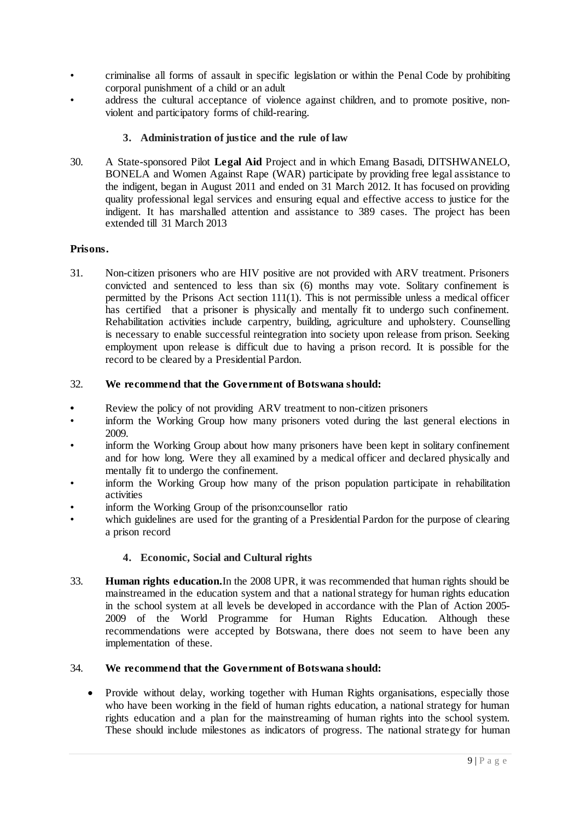- criminalise all forms of assault in specific legislation or within the Penal Code by prohibiting corporal punishment of a child or an adult
- address the cultural acceptance of violence against children, and to promote positive, nonviolent and participatory forms of child-rearing.

# **3. Administration of justice and the rule of law**

30. A State-sponsored Pilot **Legal Aid** Project and in which Emang Basadi, DITSHWANELO, BONELA and Women Against Rape (WAR) participate by providing free legal assistance to the indigent, began in August 2011 and ended on 31 March 2012. It has focused on providing quality professional legal services and ensuring equal and effective access to justice for the indigent. It has marshalled attention and assistance to 389 cases. The project has been extended till 31 March 2013

## **Prisons.**

31. Non-citizen prisoners who are HIV positive are not provided with ARV treatment. Prisoners convicted and sentenced to less than six (6) months may vote. Solitary confinement is permitted by the Prisons Act section 111(1). This is not permissible unless a medical officer has certified that a prisoner is physically and mentally fit to undergo such confinement. Rehabilitation activities include carpentry, building, agriculture and upholstery. Counselling is necessary to enable successful reintegration into society upon release from prison. Seeking employment upon release is difficult due to having a prison record. It is possible for the record to be cleared by a Presidential Pardon.

## 32. **We recommend that the Government of Botswana should:**

- **•** Review the policy of not providing ARV treatment to non-citizen prisoners
- inform the Working Group how many prisoners voted during the last general elections in 2009.
- inform the Working Group about how many prisoners have been kept in solitary confinement and for how long. Were they all examined by a medical officer and declared physically and mentally fit to undergo the confinement.
- inform the Working Group how many of the prison population participate in rehabilitation activities
- inform the Working Group of the prison:counsellor ratio
- which guidelines are used for the granting of a Presidential Pardon for the purpose of clearing a prison record

#### **4. Economic, Social and Cultural rights**

33. **Human rights education.**In the 2008 UPR, it was recommended that human rights should be mainstreamed in the education system and that a national strategy for human rights education in the school system at all levels be developed in accordance with the Plan of Action 2005- 2009 of the World Programme for Human Rights Education. Although these recommendations were accepted by Botswana, there does not seem to have been any implementation of these.

#### 34. **We recommend that the Government of Botswana should:**

• Provide without delay, working together with Human Rights organisations, especially those who have been working in the field of human rights education, a national strategy for human rights education and a plan for the mainstreaming of human rights into the school system. These should include milestones as indicators of progress. The national strategy for human